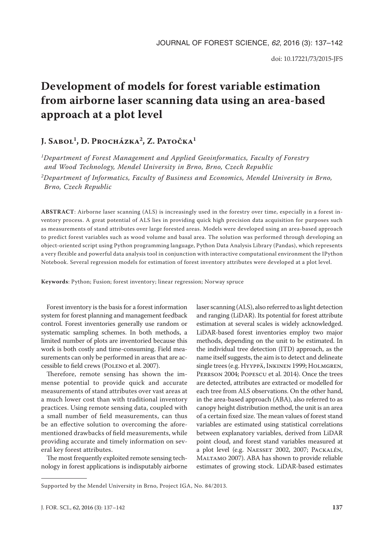# **Development of models for forest variable estimation from airborne laser scanning data using an area-based approach at a plot level**

# **J. Sabol1, D. Procházka2, Z. Patočka1**

*1Department of Forest Management and Applied Geoinformatics, Faculty of Forestry and Wood Technology, Mendel University in Brno, Brno, Czech Republic 2Department of Informatics, Faculty of Business and Economics, Mendel University in Brno, Brno, Czech Republic*

**ABSTRACT**: Airborne laser scanning (ALS) is increasingly used in the forestry over time, especially in a forest inventory process. A great potential of ALS lies in providing quick high precision data acquisition for purposes such as measurements of stand attributes over large forested areas. Models were developed using an area-based approach to predict forest variables such as wood volume and basal area. The solution was performed through developing an object-oriented script using Python programming language, Python Data Analysis Library (Pandas), which represents a very flexible and powerful data analysis tool in conjunction with interactive computational environment the IPython Notebook. Several regression models for estimation of forest inventory attributes were developed at a plot level.

**Keywords**: Python; Fusion; forest inventory; linear regression; Norway spruce

Forest inventory is the basis for a forest information system for forest planning and management feedback control. Forest inventories generally use random or systematic sampling schemes. In both methods, a limited number of plots are inventoried because this work is both costly and time-consuming. Field measurements can only be performed in areas that are accessible to field crews (Poleno et al. 2007).

Therefore, remote sensing has shown the immense potential to provide quick and accurate measurements of stand attributes over vast areas at a much lower cost than with traditional inventory practices. Using remote sensing data, coupled with a small number of field measurements, can thus be an effective solution to overcoming the aforementioned drawbacks of field measurements, while providing accurate and timely information on several key forest attributes.

The most frequently exploited remote sensing technology in forest applications is indisputably airborne laser scanning (ALS), also referred to as light detection and ranging (LiDAR). Its potential for forest attribute estimation at several scales is widely acknowledged. LiDAR-based forest inventories employ two major methods, depending on the unit to be estimated. In the individual tree detection (ITD) approach, as the name itself suggests, the aim is to detect and delineate single trees (e.g. Hyyppä, Inkinen 1999; Holmgren, Perrson 2004; Popescu et al. 2014). Once the trees are detected, attributes are extracted or modelled for each tree from ALS observations. On the other hand, in the area-based approach (ABA), also referred to as canopy height distribution method, the unit is an area of a certain fixed size. The mean values of forest stand variables are estimated using statistical correlations between explanatory variables, derived from LiDAR point cloud, and forest stand variables measured at a plot level (e.g. NAESSET 2002, 2007; PACKALÉN, Maltamo 2007). ABA has shown to provide reliable estimates of growing stock. LiDAR-based estimates

Supported by the Mendel University in Brno, Project IGA, No. 84/2013.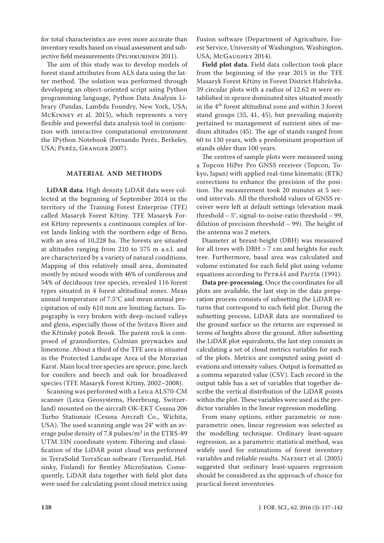for total characteristics are even more accurate than inventory results based on visual assessment and subjective field measurements (Peuhkurinen 2011).

The aim of this study was to develop models of forest stand attributes from ALS data using the latter method. The solution was performed through developing an object-oriented script using Python programming language, Python Data Analysis Library (Pandas, Lambda Foundry, New York, USA; McKinney et al. 2015), which represents a very flexible and powerful data analysis tool in conjunction with interactive computational environment the IPython Notebook (Fernando Peréz, Berkeley, USA; Peréz, Granger 2007).

### **MATERIAL AND METHODS**

**LiDAR data**. High density LiDAR data were collected at the beginning of September 2014 in the territory of the Training Forest Enterprise (TFE) called Masaryk Forest Křtiny. TFE Masaryk Forest Křtiny represents a continuous complex of forest lands linking with the northern edge of Brno, with an area of 10,228 ha. The forests are situated at altitudes ranging from 210 to 575 m a.s.l. and are characterized by a variety of natural conditions. Mapping of this relatively small area, dominated mostly by mixed woods with 46% of coniferous and 54% of deciduous tree species, revealed 116 forest types situated in 4 forest altitudinal zones. Mean annual temperature of 7.5°C and mean annual precipitation of only 610 mm are limiting factors. Topography is very broken with deep-incised valleys and glens, especially those of the Svitava River and the Křtinský potok Brook. The parent rock is composed of granodiorites, Culmian greywackes and limestone. About a third of the TFE area is situated in the Protected Landscape Area of the Moravian Karst. Main local tree species are spruce, pine, larch for conifers and beech and oak for broadleaved species (TFE Masaryk Forest Křtiny, 2002–2008).

Scanning was performed with a Leica ALS70-CM scanner (Leica Geosystems, Heerbrung, Switzerland) mounted on the aircraft OK-EKT Cessna 206 Turbo Stationair (Cessna Aircraft Co., Wichita, USA). The used scanning angle was 24° with an average pulse density of 7.8 pulses/m<sup>2</sup> in the ETRS-89 UTM 33N coordinate system. Filtering and classification of the LiDAR point cloud was performed in TerraSolid TerraScan software (Terrasolid, Helsinky, Finland) for Bentley MicroStation. Consequently, LiDAR data together with field plot data were used for calculating point cloud metrics using

Fusion software (Department of Agriculture, Forest Service, University of Washington, Washington, USA; McGaughey 2014).

**Field plot data**. Field data collection took place from the beginning of the year 2015 in the TFE Masaryk Forest Křtiny in Forest District Habrůvka. 39 circular plots with a radius of 12.62 m were established in spruce dominated sites situated mostly in the 4th forest altitudinal zone and within 3 forest stand groups (35, 41, 45), but prevailing majority pertained to management of nutrient sites of medium altitudes (45). The age of stands ranged from 60 to 130 years, with a predominant proportion of stands older than 100 years.

The centres of sample plots were measured using a Topcon HiPer Pro GNSS receiver (Topcon, Tokyo, Japan) with applied real-time kinematic (RTK) corrections to enhance the precision of the position. The measurement took 20 minutes at 5 second intervals. All the threshold values of GNSS receiver were left at default settings (elevation mask threshold – 5°, signal-to-noise-ratio threshold – 99, dilution of precision threshold – 99). The height of the antenna was 2 meters.

Diameter at breast-height (DBH) was measured for all trees with DBH > 7 cm and heights for each tree. Furthermore, basal area was calculated and volume estimated for each field plot using volume equations according to PETRÁŠ and PAJTÍK (1991).

**Data pre-processing**. Once the coordinates for all plots are available, the last step in the data preparation process consists of subsetting the LiDAR returns that correspond to each field plot. During the subsetting process, LiDAR data are normalized to the ground surface so the returns are expressed in terms of heights above the ground. After subsetting the LiDAR plot equivalents, the last step consists in calculating a set of cloud metrics variables for each of the plots. Metrics are computed using point elevations and intensity values. Output is formatted as a comma separated value (CSV). Each record in the output table has a set of variables that together describe the vertical distribution of the LiDAR points within the plot. These variables were used as the predictor variables in the linear regression modelling.

From many options, either parametric or nonparametric ones, linear regression was selected as the modelling technique. Ordinary least-square regression, as a parametric statistical method, was widely used for estimations of forest inventory variables and reliable results. NAESSET et al. (2005) suggested that ordinary least-squares regression should be considered as the approach of choice for practical forest inventories.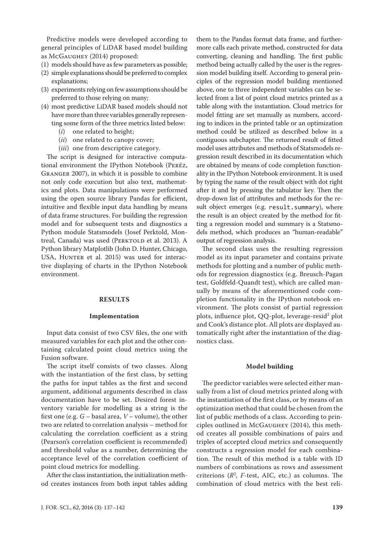Predictive models were developed according to general principles of LiDAR based model building as McGaughey (2014) proposed:

- (1) models should have as few parameters as possible;
- (2) simple explanations should be preferred to complex explanations;
- (3) experiments relying on few assumptions should be preferred to those relying on many;
- (4) most predictive LiDAR based models should not have more than three variables generally representing some form of the three metrics listed below:
	- (*i*) one related to height;
	- (*ii*) one related to canopy cover;
	- (*iii*) one from descriptive category.

The script is designed for interactive computational environment the IPython Notebook (Peréz, Granger 2007), in which it is possible to combine not only code execution but also text, mathematics and plots. Data manipulations were performed using the open source library Pandas for efficient, intuitive and flexible input data handling by means of data frame structures. For building the regression model and for subsequent tests and diagnostics a Python module Statsmodels (Josef Perktold, Montreal, Canada) was used (PERKTOLD et al. 2013). A Python library Matplotlib (John D. Hunter, Chicago, USA, HUNTER et al. 2015) was used for interactive displaying of charts in the IPython Notebook environment.

## **RESULTS**

#### **Implementation**

Input data consist of two CSV files, the one with measured variables for each plot and the other containing calculated point cloud metrics using the Fusion software.

The script itself consists of two classes. Along with the instantiation of the first class, by setting the paths for input tables as the first and second argument, additional arguments described in class documentation have to be set. Desired forest inventory variable for modelling as a string is the first one (e.g. *G* – basal area, *V* – volume), the other two are related to correlation analysis – method for calculating the correlation coefficient as a string (Pearson's correlation coefficient is recommended) and threshold value as a number, determining the acceptance level of the correlation coefficient of point cloud metrics for modelling.

After the class instantiation, the initialization method creates instances from both input tables adding

them to the Pandas format data frame, and furthermore calls each private method, constructed for data converting, cleaning and handling. The first public method being actually called by the user is the regression model building itself. According to general principles of the regression model building mentioned above, one to three independent variables can be selected from a list of point cloud metrics printed as a table along with the instantiation. Cloud metrics for model fitting are set manually as numbers, according to indices in the printed table or an optimization method could be utilized as described below in a contiguous subchapter. The returned result of fitted model uses attributes and methods of Statsmodels regression result described in its documentation which are obtained by means of code completion functionality in the IPython Notebook environment. It is used by typing the name of the result object with dot right after it and by pressing the tabulator key. Then the drop-down list of attributes and methods for the result object emerges (e.g. result.summary), where the result is an object created by the method for fitting a regression model and summary is a Statsmodels method, which produces an "human-readable" output of regression analysis.

The second class uses the resulting regression model as its input parameter and contains private methods for plotting and a number of public methods for regression diagnostics (e.g. Breusch-Pagan test, Goldfeld-Quandt test), which are called manually by means of the aforementioned code completion functionality in the IPython notebook environment. The plots consist of partial regression plots, influence plot, QQ-plot, leverage-resid<sup>2</sup> plot and Cook's distance plot. All plots are displayed automatically right after the instantiation of the diagnostics class.

#### **Model building**

The predictor variables were selected either manually from a list of cloud metrics printed along with the instantiation of the first class, or by means of an optimization method that could be chosen from the list of public methods of a class. According to principles outlined in McGaughey (2014), this method creates all possible combinations of pairs and triples of accepted cloud metrics and consequently constructs a regression model for each combination. The result of this method is a table with ID numbers of combinations as rows and assessment criterions  $(R^2, F\text{-test}, AIC, etc.)$  as columns. The combination of cloud metrics with the best reli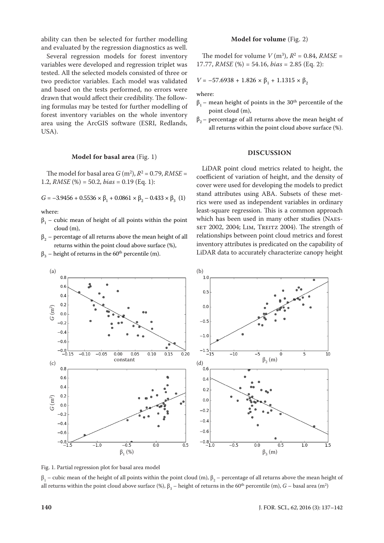ability can then be selected for further modelling and evaluated by the regression diagnostics as well.

Several regression models for forest inventory variables were developed and regression triplet was tested. All the selected models consisted of three or two predictor variables. Each model was validated and based on the tests performed, no errors were drawn that would affect their credibility. The following formulas may be tested for further modelling of forest inventory variables on the whole inventory area using the ArcGIS software (ESRI, Redlands, USA).

#### **Model for basal area** (Fig. 1)

The model for basal area  $G(m^2)$ ,  $R^2 = 0.79$ ,  $RMSE =$ 1.2, *RMSE* (%) = 50.2, *bias* = 0.19 (Eq. 1):

*G* = -3.9456 + 0.5536 × β<sub>1</sub> + 0.0861 × β<sub>2</sub> - 0.433 × β<sub>3</sub> (1)

where:

- $\beta_1$  cubic mean of height of all points within the point cloud (m),
- $\beta$ <sub>2</sub> percentage of all returns above the mean height of all returns within the point cloud above surface (%),
- $\beta_3$  height of returns in the 60<sup>th</sup> percentile (m).

#### **Model for volume** (Fig. 2)

The model for volume  $V(m^3)$ ,  $R^2 = 0.84$ ,  $RMSE =$ 17.77, *RMSE* (%) = 54.16, *bias* = 2.85 (Eq. 2):

$$
V = -57.6938 + 1.826 \times \beta_1 + 1.1315 \times \beta_2
$$

where:

- $β_1$  mean height of points in the 30<sup>th</sup> percentile of the point cloud (m),
- $β<sub>2</sub>$  percentage of all returns above the mean height of all returns within the point cloud above surface (%).

#### **DISCUSSION**

LiDAR point cloud metrics related to height, the coefficient of variation of height, and the density of cover were used for developing the models to predict stand attributes using ABA. Subsets of these metrics were used as independent variables in ordinary least-square regression. This is a common approach which has been used in many other studies (Naesset 2002, 2004; LIM, Treitz 2004). The strength of relationships between point cloud metrics and forest inventory attributes is predicated on the capability of LiDAR data to accurately characterize canopy height



Fig. 1. Partial regression plot for basal area model

 $β_1$  – cubic mean of the height of all points within the point cloud (m),  $β_2$  – percentage of all returns above the mean height of all returns within the point cloud above surface (%), β<sub>3</sub> – height of returns in the 60<sup>th</sup> percentile (m), *G* – basal area (m<sup>2</sup>)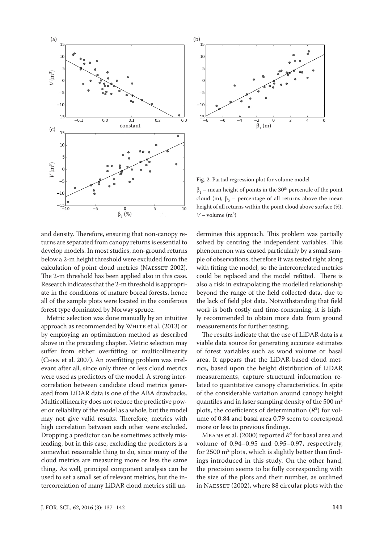

and density. Therefore, ensuring that non-canopy returns are separated from canopy returns is essential to develop models. In most studies, non-ground returns below a 2-m height threshold were excluded from the calculation of point cloud metrics (NAESSET 2002). The 2-m threshold has been applied also in this case. Research indicates that the 2-m threshold is appropriate in the conditions of mature boreal forests, hence all of the sample plots were located in the coniferous forest type dominated by Norway spruce.

Metric selection was done manually by an intuitive approach as recommended by WHITE et al. (2013) or by employing an optimization method as described above in the preceding chapter. Metric selection may suffer from either overfitting or multicollinearity (Chen et al. 2007). An overfitting problem was irrelevant after all, since only three or less cloud metrics were used as predictors of the model. A strong intercorrelation between candidate cloud metrics generated from LiDAR data is one of the ABA drawbacks. Multicollinearity does not reduce the predictive power or reliability of the model as a whole, but the model may not give valid results. Therefore, metrics with high correlation between each other were excluded. Dropping a predictor can be sometimes actively misleading, but in this case, excluding the predictors is a somewhat reasonable thing to do, since many of the cloud metrics are measuring more or less the same thing. As well, principal component analysis can be used to set a small set of relevant metrics, but the intercorrelation of many LiDAR cloud metrics still un-



Fig. 2. Partial regression plot for volume model

 $\beta_1$  – mean height of points in the 30<sup>th</sup> percentile of the point cloud (m),  $\beta_2$  – percentage of all returns above the mean height of all returns within the point cloud above surface (%),  $V$  – volume  $(m^3)$ 

dermines this approach. This problem was partially solved by centring the independent variables. This phenomenon was caused particularly by a small sample of observations, therefore it was tested right along with fitting the model, so the intercorrelated metrics could be replaced and the model refitted. There is also a risk in extrapolating the modelled relationship beyond the range of the field collected data, due to the lack of field plot data. Notwithstanding that field work is both costly and time-consuming, it is highly recommended to obtain more data from ground measurements for further testing.

The results indicate that the use of LiDAR data is a viable data source for generating accurate estimates of forest variables such as wood volume or basal area. It appears that the LiDAR-based cloud metrics, based upon the height distribution of LiDAR measurements, capture structural information related to quantitative canopy characteristics. In spite of the considerable variation around canopy height quantiles and in laser sampling density of the 500 m<sup>2</sup> plots, the coefficients of determination  $(R^2)$  for volume of 0.84 and basal area 0.79 seem to correspond more or less to previous findings.

MEANS et al. (2000) reported  $R^2$  for basal area and volume of 0.94–0.95 and 0.95–0.97, respectively, for  $2500 \text{ m}^2$  plots, which is slightly better than findings introduced in this study. On the other hand, the precision seems to be fully corresponding with the size of the plots and their number, as outlined in NAESSET (2002), where 88 circular plots with the